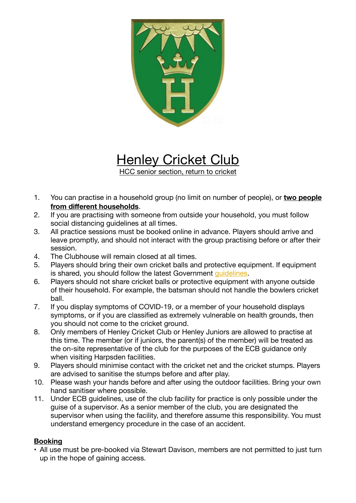



- 1. You can practise in a household group (no limit on number of people), or **two people from different households**.
- 2. If you are practising with someone from outside your household, you must follow social distancing guidelines at all times.
- 3. All practice sessions must be booked online in advance. Players should arrive and leave promptly, and should not interact with the group practising before or after their session.
- 4. The Clubhouse will remain closed at all times.
- 5. Players should bring their own cricket balls and protective equipment. If equipment is shared, you should follow the latest Government [guidelines.](https://www.gov.uk/government/publications/coronavirus-covid-19-guidance-on-phased-return-of-sport-and-recreation/guidance-for-the-public-on-the-phased-return-of-outdoor-sport-and-recreation)
- 6. Players should not share cricket balls or protective equipment with anyone outside of their household. For example, the batsman should not handle the bowlers cricket ball.
- 7. If you display symptoms of COVID-19, or a member of your household displays symptoms, or if you are classified as extremely vulnerable on health grounds, then you should not come to the cricket ground.
- 8. Only members of Henley Cricket Club or Henley Juniors are allowed to practise at this time. The member (or if juniors, the parent(s) of the member) will be treated as the on-site representative of the club for the purposes of the ECB guidance only when visiting Harpsden facilities.
- 9. Players should minimise contact with the cricket net and the cricket stumps. Players are advised to sanitise the stumps before and after play.
- 10. Please wash your hands before and after using the outdoor facilities. Bring your own hand sanitiser where possible.
- 11. Under ECB guidelines, use of the club facility for practice is only possible under the guise of a supervisor. As a senior member of the club, you are designated the supervisor when using the facility, and therefore assume this responsibility. You must understand emergency procedure in the case of an accident.

#### **Booking**

• All use must be pre-booked via Stewart Davison, members are not permitted to just turn up in the hope of gaining access.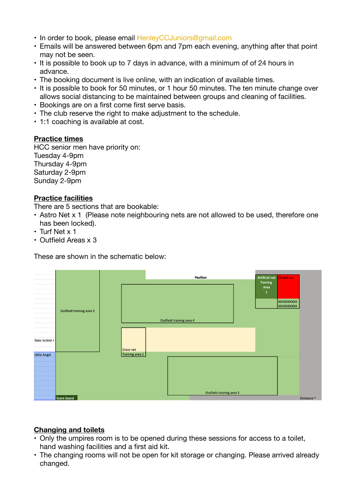- In order to book, please email [HenleyCCJuniors@gmail.com](mailto:HenleyCCJuniors@gmail.com)
- Emails will be answered between 6pm and 7pm each evening, anything after that point may not be seen.
- It is possible to book up to 7 days in advance, with a minimum of of 24 hours in advance.
- The booking document is live online, with an indication of available times.
- It is possible to book for 50 minutes, or 1 hour 50 minutes. The ten minute change over allows social distancing to be maintained between groups and cleaning of facilities.
- Bookings are on a first come first serve basis.
- The club reserve the right to make adjustment to the schedule.
- 1:1 coaching is available at cost.

### **Practice times**

HCC senior men have priority on: Tuesday 4-9pm Thursday 4-9pm Saturday 2-9pm Sunday 2-9pm

# **Practice facilities**

There are 5 sections that are bookable:

- Astro Net x 1 (Please note neighbouring nets are not allowed to be used, therefore one has been locked).
- Turf Net x 1
- Outfield Areas x 3

These are shown in the schematic below:



# **Changing and toilets**

- Only the umpires room is to be opened during these sessions for access to a toilet, hand washing facilities and a first aid kit.
- The changing rooms will not be open for kit storage or changing. Please arrived already changed.